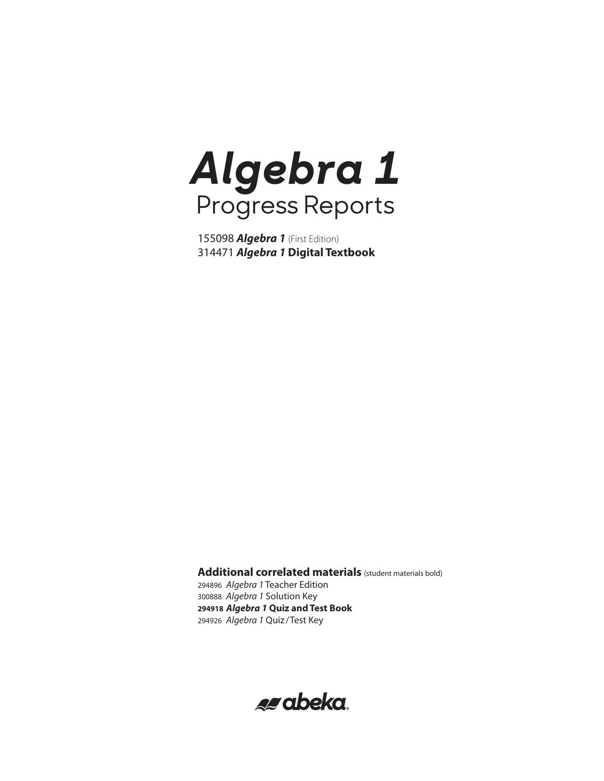*Algebra 1* (First Edition) *Algebra 1* **Digital Textbook**

**Additional correlated materials** (student materials bold) *Algebra 1* Teacher Edition *Algebra 1* Solution Key *Algebra 1* **Quiz and Test Book** *Algebra 1* Quiz /Test Key

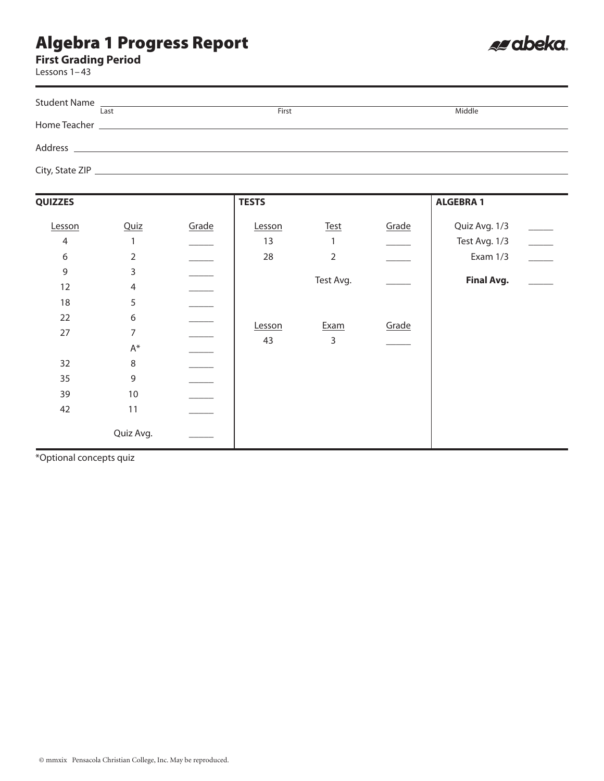**First Grading Period**

Lessons 1–43

|                 | Student Name |       |        |
|-----------------|--------------|-------|--------|
|                 | Last         | First | Middle |
| Home Teacher    |              |       |        |
| Address         |              |       |        |
| City, State ZIP |              |       |        |

es abeka.

| <b>QUIZZES</b> |                |       | <b>TESTS</b> |                |       | <b>ALGEBRA 1</b>  |                          |
|----------------|----------------|-------|--------------|----------------|-------|-------------------|--------------------------|
| Lesson         | Quiz           | Grade | Lesson       | Test           | Grade | Quiz Avg. 1/3     |                          |
| $\overline{4}$ | 1              |       | 13           | $\mathbf{1}$   |       | Test Avg. 1/3     | $\overline{\phantom{a}}$ |
| 6              | $\overline{2}$ |       | 28           | $\overline{2}$ |       | Exam 1/3          |                          |
| 9              | 3              |       |              |                |       |                   |                          |
| 12             | $\overline{4}$ |       |              | Test Avg.      |       | <b>Final Avg.</b> |                          |
| 18             | 5              |       |              |                |       |                   |                          |
| 22             | 6              |       |              |                |       |                   |                          |
| 27             | 7              |       | Lesson       | Exam           | Grade |                   |                          |
|                | $\mathsf{A}^*$ |       | 43           | 3              |       |                   |                          |
| 32             | $\,8\,$        |       |              |                |       |                   |                          |
| 35             | 9              |       |              |                |       |                   |                          |
| 39             | $10$           |       |              |                |       |                   |                          |
| 42             | 11             |       |              |                |       |                   |                          |
|                | Quiz Avg.      |       |              |                |       |                   |                          |

\*Optional concepts quiz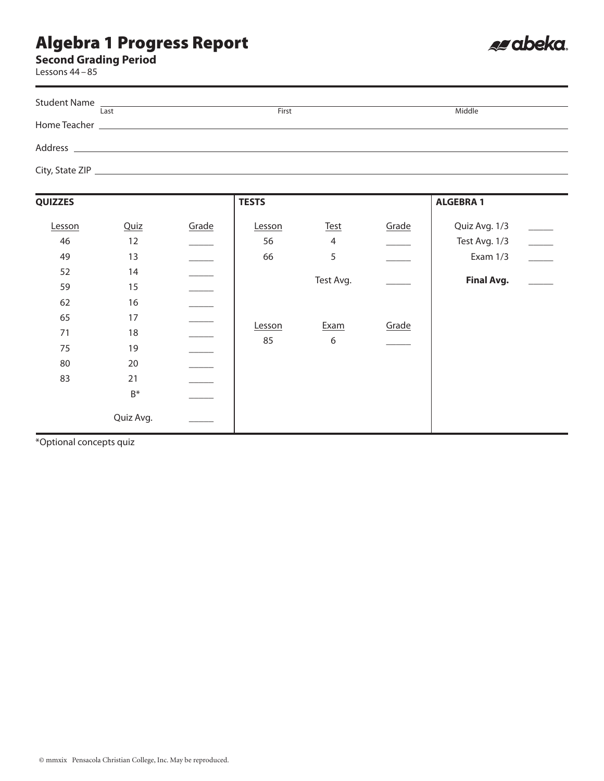#### **Second Grading Period**

Lessons 44–85

| Last | First | Middle |
|------|-------|--------|
|      |       |        |
|      |       |        |
|      |       |        |
|      |       |        |
|      |       |        |
|      |       |        |

es abeka.

| <b>QUIZZES</b>             |                                              |       | <b>TESTS</b>       |                             |       | <b>ALGEBRA1</b>                            |                          |
|----------------------------|----------------------------------------------|-------|--------------------|-----------------------------|-------|--------------------------------------------|--------------------------|
| Lesson<br>46<br>49         | Quiz<br>12<br>13                             | Grade | Lesson<br>56<br>66 | Test<br>$\overline{4}$<br>5 | Grade | Quiz Avg. 1/3<br>Test Avg. 1/3<br>Exam 1/3 | $\overline{\phantom{a}}$ |
| 52<br>59<br>62             | 14<br>15<br>16                               |       |                    | Test Avg.                   |       | <b>Final Avg.</b>                          |                          |
| 65<br>71<br>75<br>80<br>83 | 17<br>18<br>19<br>20<br>21<br>$\mathsf{B}^*$ |       | Lesson<br>85       | Exam<br>$\boldsymbol{6}$    | Grade |                                            |                          |
|                            | Quiz Avg.                                    |       |                    |                             |       |                                            |                          |

\*Optional concepts quiz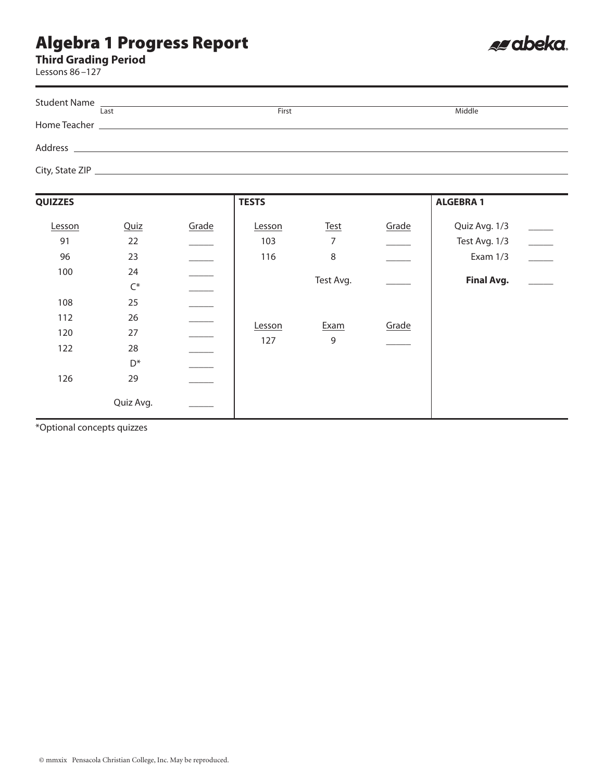**Third Grading Period**

Lessons 86–127

| Last | First | Middle |
|------|-------|--------|
|      |       |        |
|      |       |        |
|      |       |        |
|      |       |        |
|      |       |        |
|      |       |        |

es abeka.

| <b>QUIZZES</b>                  |                                                                             |       | <b>TESTS</b>         |                                    |       | <b>ALGEBRA 1</b>                                                |                          |
|---------------------------------|-----------------------------------------------------------------------------|-------|----------------------|------------------------------------|-------|-----------------------------------------------------------------|--------------------------|
| Lesson<br>91<br>96<br>100       | Quiz<br>22<br>23<br>24                                                      | Grade | Lesson<br>103<br>116 | <b>Test</b><br>7<br>8<br>Test Avg. | Grade | Quiz Avg. 1/3<br>Test Avg. 1/3<br>Exam 1/3<br><b>Final Avg.</b> | $\overline{\phantom{a}}$ |
| 108<br>112<br>120<br>122<br>126 | $\mathsf{C}^*$<br>25<br>26<br>27<br>28<br>$\mathsf{D}^*$<br>29<br>Quiz Avg. |       | Lesson<br>127        | Exam<br>$\overline{9}$             | Grade |                                                                 |                          |

\*Optional concepts quizzes